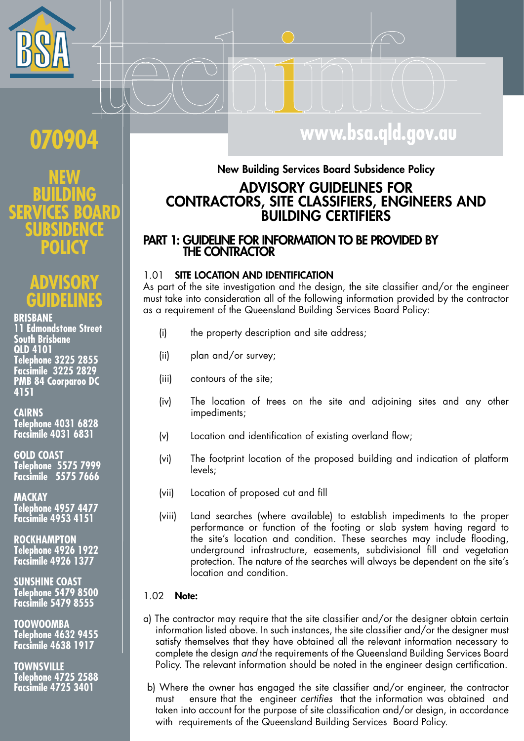

## 070904

# O

### **BRISBANE**

**11 Edmondstone Street** South Brisbane **QLD 4101** Telephone 3225 2855<br>Facsimile 3225 2829 **PMB 84 Coorparoo DC** 4151

### **CAIRNS**

Telephone 4031 6828<br>Facsimile 4031 6831

**GOLD COAST** Telephone 5575 7999 **Facsimile** 5575 7666

**MACKAY** Telephone 4957 4477<br>Facsimile 4953 4151

**ROCKHAMPTON** Telephone 4926 1922 **Facsimile 4926 1377** 

**SUNSHINE COAST** Telephone 5479 8500<br>Facsimile 5479 8555

**TOOWOOMBA** Telephone 4632 9455<br>Facsimile 4638 1917

**TOWNSVILLE** Telephone 4725 2588<br>Facsimile 4725 3401

## www.bsa.qld.gov.au

## New Building Services Board Subsidence Policy **ADVISORY GUIDELINES FOR CONTRACTORS, SITE CLASSIFIERS, ENGINEERS AND BUILDING CERTIFIERS**

## PART 1: GUIDELINE FOR INFORMATION TO BE PROVIDED BY **THE CONTRACTOR**

#### SITE LOCATION AND IDENTIFICATION 1 O 1

As part of the site investigation and the design, the site classifier and/or the engineer must take into consideration all of the following information provided by the contractor as a requirement of the Queensland Building Services Board Policy:

- the property description and site address;  $(i)$
- plan and/or survey;  $(ii)$
- contours of the site;  $(iii)$
- The location of trees on the site and adjoining sites and any other  $(iv)$ impediments;
- Location and identification of existing overland flow;  $(v)$
- The footprint location of the proposed building and indication of platform  $(v<sub>i</sub>)$ levels:
- $(vii)$ Location of proposed cut and fill
- Land searches (where available) to establish impediments to the proper  $(viii)$ performance or function of the footing or slab system having regard to the site's location and condition. These searches may include flooding, underground infrastructure, easements, subdivisional fill and vegetation protection. The nature of the searches will always be dependent on the site's location and condition.

#### $1.02$ Note:

- a) The contractor may require that the site classifier and/or the designer obtain certain information listed above. In such instances, the site classifier and/or the designer must satisfy themselves that they have obtained all the relevant information necessary to complete the design and the requirements of the Queensland Building Services Board Policy. The relevant information should be noted in the engineer design certification.
- b) Where the owner has engaged the site classifier and/or engineer, the contractor ensure that the engineer certifies that the information was obtained and must taken into account for the purpose of site classification and/or design, in accordance with requirements of the Queensland Building Services Board Policy.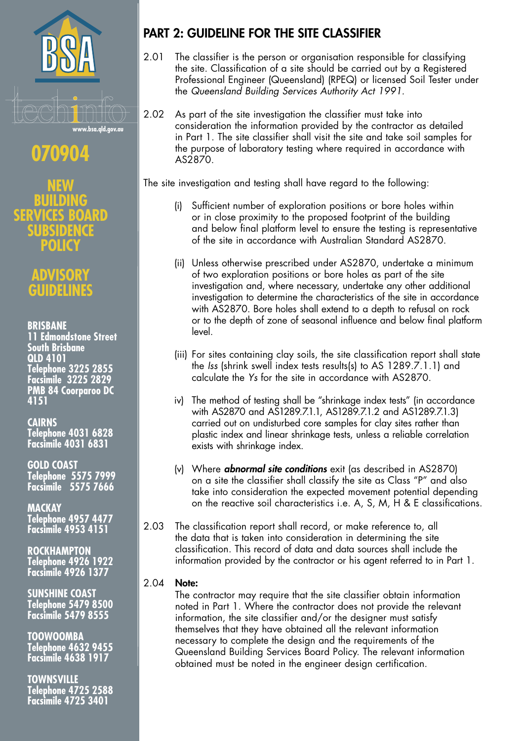

## $\blacklozenge$

**{0}** RĐ ESDEE Т OI O

> 150 DELL

**BRISBANE 11 Edmondstone Street South Brisbane QLD 4101** Telephone 3225 2855 Facsimile 3225 2829<br>PMB 84 Coorparoo DC

4151

**CAIRNS Telephone 4031 6828 Facsimile 4031 6831** 

**GOLD COAST Telephone 5575 7999** 

**Facsimile** 5575 7666

**MACKAY** Telephone 4957 4477<br>Facsimile 4953 4151

**ROCKHAMPTON Telephone 4926 1922 Facsimile 4926 1377** 

**SUNSHINE COAST Telephone 5479 8500 Facsimile 5479 8555** 

**TOOWOOMBA** Telephone 4632 9455 **Facsimile 4638 1917** 

**TOWNSVILLE** Telephone 4725 2588<br>Facsimile 4725 3401

## **PART 2: GUIDELINE FOR THE SITE CLASSIFIER**

- 2.01 The classifier is the person or organisation responsible for classifying the site. Classification of a site should be carried out by a Registered Professional Engineer (Queensland) (RPEQ) or licensed Soil Tester under the Queensland Building Services Authority Act 1991.
- $202$ As part of the site investigation the classifier must take into consideration the information provided by the contractor as detailed in Part 1. The site classifier shall visit the site and take soil samples for the purpose of laboratory testing where required in accordance with  $AS2870$

The site investigation and testing shall have regard to the following:

- (i) Sufficient number of exploration positions or bore holes within or in close proximity to the proposed footprint of the building and below final platform level to ensure the testing is representative of the site in accordance with Australian Standard AS2870
- (ii) Unless otherwise prescribed under AS2870, undertake a minimum of two exploration positions or bore holes as part of the site investigation and, where necessary, undertake any other additional investigation to determine the characteristics of the site in accordance with AS2870. Bore holes shall extend to a depth to refusal on rock or to the depth of zone of seasonal influence and below final platform level
- (iii) For sites containing clay soils, the site classification report shall state the Iss (shrink swell index tests results(s) to AS 1289.7.1.1) and calculate the Ys for the site in accordance with AS2870.
- iv) The method of testing shall be "shrinkage index tests" (in accordance with AS2870 and AS1289.7.1.1, AS1289.7.1.2 and AS1289.7.1.3) carried out on undisturbed core samples for clay sites rather than plastic index and linear shrinkage tests, unless a reliable correlation exists with shrinkage index.
- (v) Where **abnormal site conditions** exit (as described in AS2870) on a site the classifier shall classify the site as Class "P" and also take into consideration the expected movement potential depending on the reactive soil characteristics i.e. A, S, M, H & E classifications.
- 2.03 The classification report shall record, or make reference to, all the data that is taken into consideration in determining the site classification. This record of data and data sources shall include the information provided by the contractor or his agent referred to in Part 1.

#### $2.04$ Note:

The contractor may require that the site classifier obtain information noted in Part 1. Where the contractor does not provide the relevant information, the site classifier and/or the designer must satisfy themselves that they have obtained all the relevant information necessary to complete the design and the requirements of the Queensland Building Services Board Policy. The relevant information obtained must be noted in the engineer design certification.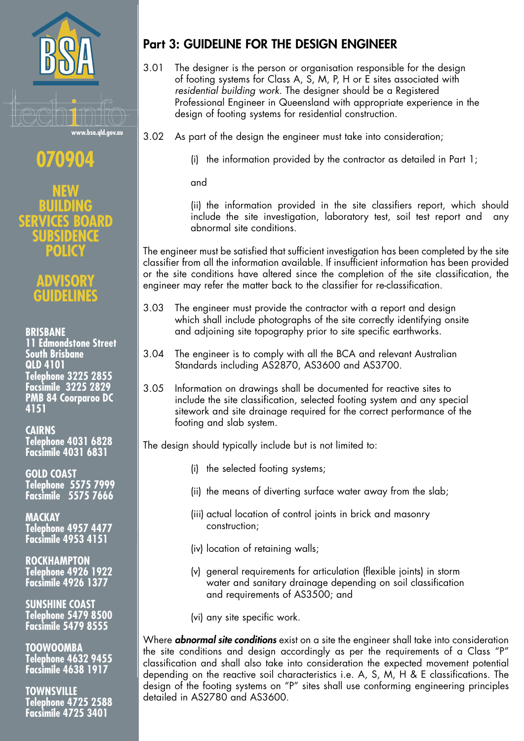

70904

OLIC

# **ASO**

## **BRISBANE**

**11 Edmondstone Street South Brisbane QLD 4101 Telephone 3225 2855 Facsimile 3225 2829 PMB 84 Coorparoo DC** 4151

## **CAIRNS**

Telephone 4031 6828 **Facsimile 4031 6831** 

GOLD COAST<br>Telephone 5575 7999 **Facsimile** 5575 7666

**MACKAY Telephone 4957 4477** Facsimile 4953 4151

**ROCKHAMPTON Telephone 4926 1922 Facsimile 4926 1377** 

**SUNSHINE COAST Telephone 5479 8500 Facsimile 5479 8555** 

**TOOWOOMBA Telephone 4632 9455 Facsimile 4638 1917** 

TOWNSVILLE<br>Telephone 4725 2588 **Facsimile 4725 3401** 

## **Part 3: GUIDELINE FOR THE DESIGN ENGINEER**

- 3.01 The designer is the person or organisation responsible for the design of footing systems for Class A, S, M, P, H or E sites associated with residential building work. The designer should be a Registered Professional Engineer in Queensland with appropriate experience in the design of footing systems for residential construction.
- 3.02 As part of the design the engineer must take into consideration;

(i) the information provided by the contractor as detailed in Part 1;

and

(ii) the information provided in the site classifiers report, which should include the site investigation, laboratory test, soil test report and any abnormal site conditions.

The engineer must be satisfied that sufficient investigation has been completed by the site classifier from all the information available. If insufficient information has been provided or the site conditions have altered since the completion of the site classification, the engineer may refer the matter back to the classifier for re-classification.

- $3.03$ The engineer must provide the contractor with a report and design which shall include photographs of the site correctly identifying onsite and adjoining site topography prior to site specific earthworks.
- $3.04$ The engineer is to comply with all the BCA and relevant Australian Standards including AS2870, AS3600 and AS3700.
- $3.05$ Information on drawings shall be documented for reactive sites to include the site classification, selected footing system and any special sitework and site drainage required for the correct performance of the footing and slab system.

The design should typically include but is not limited to:

- (i) the selected footing systems;
- (ii) the means of diverting surface water away from the slab;
- (iii) actual location of control joints in brick and masonry construction:
- (iv) location of retaining walls;
- (v) general requirements for articulation (flexible joints) in storm water and sanitary drainage depending on soil classification and requirements of AS3500; and
- (vi) any site specific work.

Where **abnormal site conditions** exist on a site the engineer shall take into consideration the site conditions and design accordingly as per the requirements of a Class "P" classification and shall also take into consideration the expected movement potential depending on the reactive soil characteristics i.e. A, S, M, H & E classifications. The design of the footing systems on "P" sites shall use conforming engineering principles detailed in AS2780 and AS3600.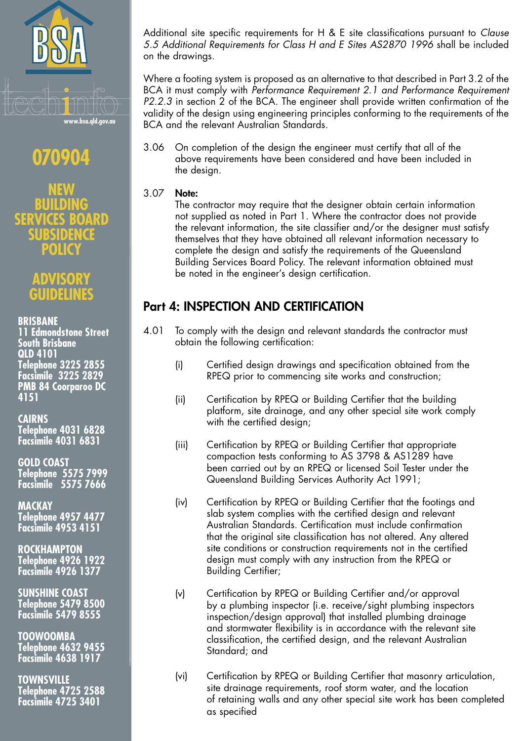

## 070904

SIDEN (C : **POLIC** 

## **DVISOR** CHIDELINE

## **BRISBANE**

**11 Edmondstone Street South Brisbane QLD 4101** Telephone 3225 2855<br>Facsimile 3225 2829 **PMB 84 Coorparoo DC** 4151

## **CAIRNS**

**Telephone 4031 6828 Facsimile 4031 6831** 

**GOLD COAST** Telephone 5575 7999<br>Facsimile 5575 7666

## **MACKAY**

**Telephone 4957 4477 Facsimile 4953 4151** 

**ROCKHAMPTON** Telephone 4926 1922 **Facsimile 4926 1377** 

**SUNSHINE COAST Telephone 5479 8500** Facsimile 5479 8555

**TOOWOOMBA Telephone 4632 9455 Facsimile 4638 1917** 

**TOWNSVILLE Telephone 4725 2588 Facsimile 4725 3401** 

Additional site specific requirements for H & E site classifications pursuant to Clause 5.5 Additional Requirements for Class H and E Sites AS2870 1996 shall be included on the drawings.

Where a footing system is proposed as an alternative to that described in Part 3.2 of the BCA it must comply with Performance Requirement 2.1 and Performance Requirement P2.2.3 in section 2 of the BCA. The engineer shall provide written confirmation of the validity of the design using engineering principles conforming to the requirements of the BCA and the relevant Australian Standards.

On completion of the design the engineer must certify that all of the  $3.06$ above requirements have been considered and have been included in the design.

#### 3.07 Note:

The contractor may require that the designer obtain certain information not supplied as noted in Part 1. Where the contractor does not provide the relevant information, the site classifier and/or the designer must satisfy themselves that they have obtained all relevant information necessary to complete the design and satisfy the requirements of the Queensland Building Services Board Policy. The relevant information obtained must be noted in the engineer's design certification.

## **Part 4: INSPECTION AND CERTIFICATION**

- To comply with the design and relevant standards the contractor must 4.01 obtain the following certification:
	- Certified design drawings and specification obtained from the  $(i)$ RPEQ prior to commencing site works and construction;
	- Certification by RPEQ or Building Certifier that the building  $(iii)$ platform, site drainage, and any other special site work comply with the certified design;
	- $(iii)$ Certification by RPEQ or Building Certifier that appropriate compaction tests conforming to AS 3798 & AS1289 have been carried out by an RPEQ or licensed Soil Tester under the Queensland Building Services Authority Act 1991;
	- Certification by RPEQ or Building Certifier that the footings and  $(iv)$ slab system complies with the certified design and relevant Australian Standards. Certification must include confirmation that the original site classification has not altered. Any altered site conditions or construction requirements not in the certified design must comply with any instruction from the RPEQ or **Building Certifier;**
	- $(v)$ Certification by RPEQ or Building Certifier and/or approval by a plumbing inspector (i.e. receive/sight plumbing inspectors inspection/design approval) that installed plumbing drainage and stormwater flexibility is in accordance with the relevant site classification, the certified design, and the relevant Australian Standard; and
	- Certification by RPEQ or Building Certifier that masonry articulation,  $(v<sub>i</sub>)$ site drainage requirements, roof storm water, and the location of retaining walls and any other special site work has been completed as specified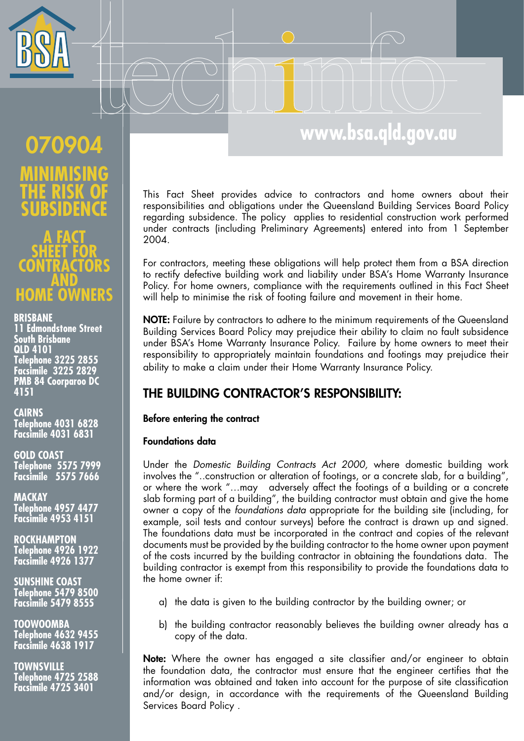

## www.bsa.qld.gov.au

# 070904 b

## **a** ï **HOME OWNERS**

### **BRISBANE**

**11 Edmondstone Street** South Brisbane **QLD 4101** Telephone 3225 2855<br>Facsimile 3225 2829 **PMB 84 Coorparoo DC** 4151

**CAIRNS** Telephone 4031 6828<br>Facsimile 4031 6831

**GOLD COAST** Telephone 5575 7999 **Facsimile** 5575 7666

ΜΔΟΚΑΥ Telephone 4957 4477<br>Facsimile 4953 4151

**ROCKHAMPTON** Telephone 4926 1922 **Facsimile 4926 1377** 

**SUNSHINE COAST** Telephone 5479 8500<br>Facsimile 5479 8555

**TOOWOOMBA** Telephone 4632 9455<br>Facsimile 4638 1917

**TOWNSVILLE** Telephone 4725 2588<br>Facsimile 4725 3401

This Fact Sheet provides advice to contractors and home owners about their responsibilities and obligations under the Queensland Building Services Board Policy regarding subsidence. The policy applies to residential construction work performed under contracts (including Preliminary Agreements) entered into from 1 September 2004.

For contractors, meeting these obligations will help protect them from a BSA direction to rectify defective building work and liability under BSA's Home Warranty Insurance Policy. For home owners, compliance with the requirements outlined in this Fact Sheet will help to minimise the risk of footing failure and movement in their home.

NOTE: Failure by contractors to adhere to the minimum requirements of the Queensland Building Services Board Policy may prejudice their ability to claim no fault subsidence under BSA's Home Warranty Insurance Policy. Failure by home owners to meet their responsibility to appropriately maintain foundations and footings may prejudice their ability to make a claim under their Home Warranty Insurance Policy.

## THE BUILDING CONTRACTOR'S RESPONSIBILITY:

## Before entering the contract

## **Foundations data**

Under the Domestic Building Contracts Act 2000, where domestic building work involves the "..construction or alteration of footings, or a concrete slab, for a building", or where the work "...may adversely affect the footings of a building or a concrete slab forming part of a building", the building contractor must obtain and give the home owner a copy of the foundations data appropriate for the building site (including, for example, soil tests and contour surveys) before the contract is drawn up and signed. The foundations data must be incorporated in the contract and copies of the relevant documents must be provided by the building contractor to the home owner upon payment of the costs incurred by the building contractor in obtaining the foundations data. The building contractor is exempt from this responsibility to provide the foundations data to the home owner if:

- a) the data is given to the building contractor by the building owner; or
- b) the building contractor reasonably believes the building owner already has a copy of the data.

Note: Where the owner has engaged a site classifier and/or engineer to obtain the foundation data, the contractor must ensure that the engineer certifies that the information was obtained and taken into account for the purpose of site classification and/or design, in accordance with the requirements of the Queensland Building Services Board Policy.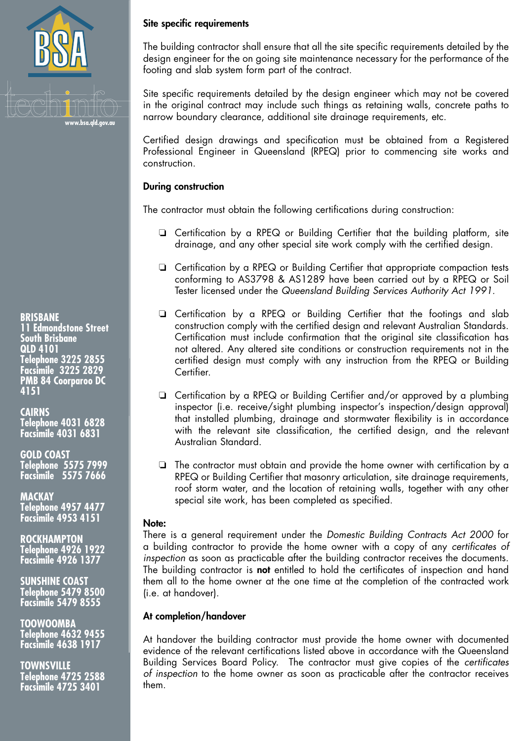

### **BRISBANE**

**11 Edmondstone Street South Brisbane QLD 4101** Telephone 3225 2855<br>Facsimile 3225 2829 **PMB 84 Coorparoo DC** 4151

**CAIRNS** Telephone 4031 6828<br>Facsimile 4031 6831

**GOLD COAST Telephone 5575 7999 Facsimile 5575 7666** 

**MACKAY Telephone 4957 4477 Facsimile 4953 4151** 

**ROCKHAMPTON Telephone 4926 1922 Facsimile 4926 1377** 

**SUNSHINE COAST** Telephone 5479 8500<br>Facsimile 5479 8555

**TOOWOOMBA Telephone 4632 9455 Facsimile 4638 1917** 

**TOWNSVILLE** Telephone 4725 2588<br>Facsimile 4725 3401

## Site specific requirements

The building contractor shall ensure that all the site specific requirements detailed by the design engineer for the on going site maintenance necessary for the performance of the footing and slab system form part of the contract.

Site specific requirements detailed by the design engineer which may not be covered in the original contract may include such things as retaining walls, concrete paths to narrow boundary clearance, additional site drainage requirements, etc.

Certified design drawings and specification must be obtained from a Registered Professional Engineer in Queensland (RPEQ) prior to commencing site works and construction.

### **During construction**

The contractor must obtain the following certifications during construction:

- □ Certification by a RPEQ or Building Certifier that the building platform, site drainage, and any other special site work comply with the certified design.
- □ Certification by a RPEQ or Building Certifier that appropriate compaction tests conforming to AS3798 & AS1289 have been carried out by a RPEQ or Soil Tester licensed under the Queensland Building Services Authority Act 1991.
- **Q** Certification by a RPEQ or Building Certifier that the footings and slab construction comply with the certified design and relevant Australian Standards. Certification must include confirmation that the original site classification has not altered. Any altered site conditions or construction requirements not in the certified design must comply with any instruction from the RPEQ or Building Certifier.
- □ Certification by a RPEQ or Building Certifier and/or approved by a plumbing inspector (i.e. receive/sight plumbing inspector's inspection/design approval) that installed plumbing, drainage and stormwater flexibility is in accordance with the relevant site classification, the certified design, and the relevant Australian Standard.
- $\Box$  The contractor must obtain and provide the home owner with certification by a RPEQ or Building Certifier that masonry articulation, site drainage requirements, roof storm water, and the location of retaining walls, together with any other special site work, has been completed as specified.

### Note:

There is a general requirement under the Domestic Building Contracts Act 2000 for a building contractor to provide the home owner with a copy of any certificates of inspection as soon as practicable after the building contractor receives the documents. The building contractor is not entitled to hold the certificates of inspection and hand them all to the home owner at the one time at the completion of the contracted work (i.e. at handover).

## At completion/handover

At handover the building contractor must provide the home owner with documented evidence of the relevant certifications listed above in accordance with the Queensland Building Services Board Policy. The contractor must give copies of the certificates of inspection to the home owner as soon as practicable after the contractor receives them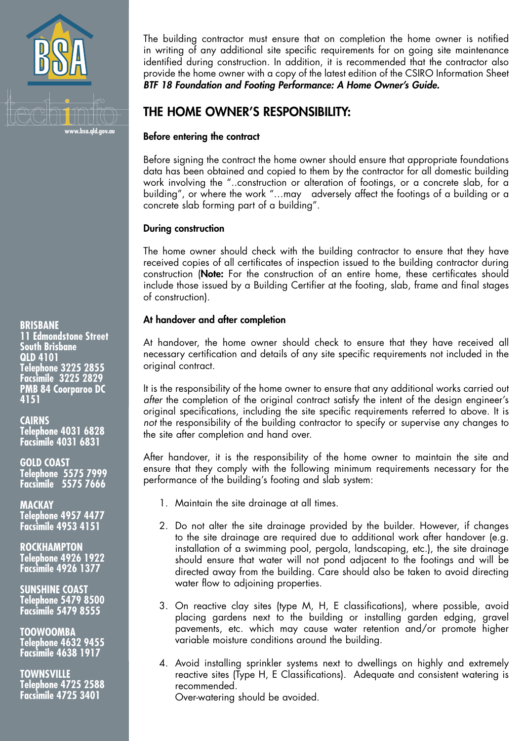

**BRISBANE 11 Edmondstone Street South Brisbane QLD 4101** Telephone 3225 2855 **Facsimile 3225 2829 PMB 84 Coorparoo DC** 4151

**CAIRNS Telephone 4031 6828 Facsimile 4031 6831** 

**GOLD COAST** Telephone 5575 7999<br>Facsimile 5575 7666

**MACKAY Telephone 4957 4477** Facsimile 4953 4151

**ROCKHAMPTON** Telephone 4926 1922<br>Facsimile 4926 1377

**SUNSHINE COAST** Telephone 5479 8500<br>Facsimile 5479 8555

**TOOWOOMBA Telephone 4632 9455 Facsimile 4638 1917** 

**TOWNSVILLE Telephone 4725 2588 Facsimile 4725 3401** 

The building contractor must ensure that on completion the home owner is notified in writing of any additional site specific requirements for on going site maintenance identified during construction. In addition, it is recommended that the contractor also provide the home owner with a copy of the latest edition of the CSIRO Information Sheet BTF 18 Foundation and Footing Performance: A Home Owner's Guide.

## THE HOME OWNER'S RESPONSIBILITY:

## Before entering the contract

Before signing the contract the home owner should ensure that appropriate foundations data has been obtained and copied to them by the contractor for all domestic building work involving the "..construction or alteration of footings, or a concrete slab, for a building", or where the work "...may adversely affect the footings of a building or a concrete slab forming part of a building".

## **During construction**

The home owner should check with the building contractor to ensure that they have received copies of all certificates of inspection issued to the building contractor during construction (Note: For the construction of an entire home, these certificates should include those issued by a Building Certifier at the footing, slab, frame and final stages of construction).

## At handover and after completion

At handover, the home owner should check to ensure that they have received all necessary certification and details of any site specific requirements not included in the original contract.

It is the responsibility of the home owner to ensure that any additional works carried out after the completion of the original contract satisfy the intent of the design engineer's original specifications, including the site specific requirements referred to above. It is not the responsibility of the building contractor to specify or supervise any changes to the site after completion and hand over.

After handover, it is the responsibility of the home owner to maintain the site and ensure that they comply with the following minimum requirements necessary for the performance of the building's footing and slab system:

- 1. Maintain the site drainage at all times.
- 2. Do not alter the site drainage provided by the builder. However, if changes to the site drainage are required due to additional work after handover (e.g. installation of a swimming pool, pergola, landscaping, etc.), the site drainage should ensure that water will not pond adjacent to the footings and will be directed away from the building. Care should also be taken to avoid directing water flow to adjoining properties.
- 3. On reactive clay sites (type M, H, E classifications), where possible, avoid placing gardens next to the building or installing garden edging, gravel pavements, etc. which may cause water retention and/or promote higher variable moisture conditions around the building.
- 4. Avoid installing sprinkler systems next to dwellings on highly and extremely reactive sites (Type H, E Classifications). Adequate and consistent watering is recommended.

Over-watering should be avoided.